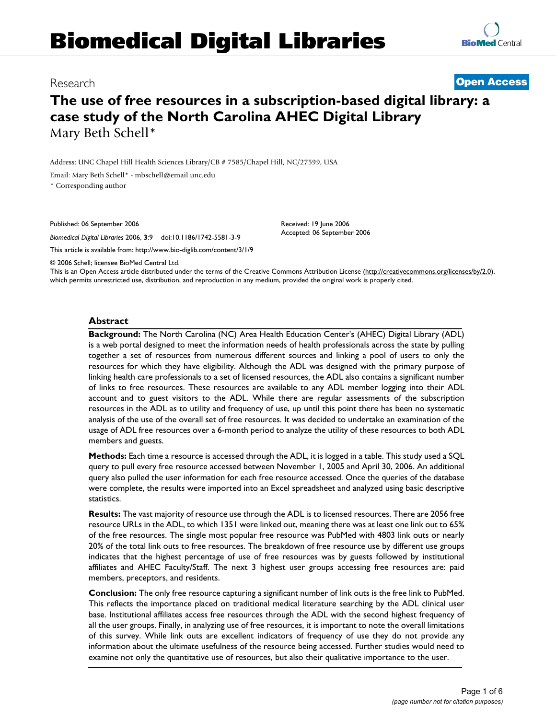# **Biomedical Digital Libraries**

# Research **Open Access**

# **The use of free resources in a subscription-based digital library: a case study of the North Carolina AHEC Digital Library** Mary Beth Schell\*

Address: UNC Chapel Hill Health Sciences Library/CB # 7585/Chapel Hill, NC/27599, USA

Email: Mary Beth Schell\* - mbschell@email.unc.edu

\* Corresponding author

Published: 06 September 2006

*Biomedical Digital Libraries* 2006, **3**:9 doi:10.1186/1742-5581-3-9

This article is available from: http://www.bio-diglib.com/content/3/1/9

© 2006 Schell; licensee BioMed Central Ltd.

This is an Open Access article distributed under the terms of the Creative Commons Attribution License (http://creativecommons.org/licenses/by/2.0), which permits unrestricted use, distribution, and reproduction in any medium, provided the original work is properly cited.

Received: 19 June 2006 Accepted: 06 September 2006

#### **Abstract**

**Background:** The North Carolina (NC) Area Health Education Center's (AHEC) Digital Library (ADL) is a web portal designed to meet the information needs of health professionals across the state by pulling together a set of resources from numerous different sources and linking a pool of users to only the resources for which they have eligibility. Although the ADL was designed with the primary purpose of linking health care professionals to a set of licensed resources, the ADL also contains a significant number of links to free resources. These resources are available to any ADL member logging into their ADL account and to guest visitors to the ADL. While there are regular assessments of the subscription resources in the ADL as to utility and frequency of use, up until this point there has been no systematic analysis of the use of the overall set of free resources. It was decided to undertake an examination of the usage of ADL free resources over a 6-month period to analyze the utility of these resources to both ADL members and guests.

**Methods:** Each time a resource is accessed through the ADL, it is logged in a table. This study used a SQL query to pull every free resource accessed between November 1, 2005 and April 30, 2006. An additional query also pulled the user information for each free resource accessed. Once the queries of the database were complete, the results were imported into an Excel spreadsheet and analyzed using basic descriptive statistics.

**Results:** The vast majority of resource use through the ADL is to licensed resources. There are 2056 free resource URLs in the ADL, to which 1351 were linked out, meaning there was at least one link out to 65% of the free resources. The single most popular free resource was PubMed with 4803 link outs or nearly 20% of the total link outs to free resources. The breakdown of free resource use by different use groups indicates that the highest percentage of use of free resources was by guests followed by institutional affiliates and AHEC Faculty/Staff. The next 3 highest user groups accessing free resources are: paid members, preceptors, and residents.

**Conclusion:** The only free resource capturing a significant number of link outs is the free link to PubMed. This reflects the importance placed on traditional medical literature searching by the ADL clinical user base. Institutional affiliates access free resources through the ADL with the second highest frequency of all the user groups. Finally, in analyzing use of free resources, it is important to note the overall limitations of this survey. While link outs are excellent indicators of frequency of use they do not provide any information about the ultimate usefulness of the resource being accessed. Further studies would need to examine not only the quantitative use of resources, but also their qualitative importance to the user.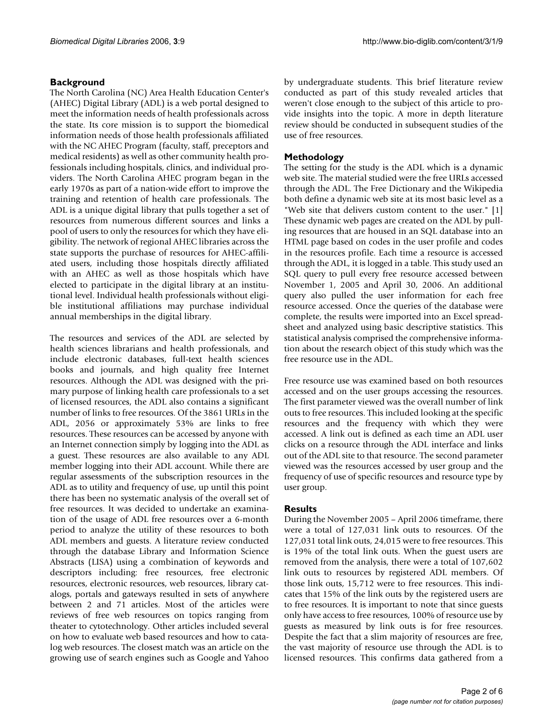# **Background**

The North Carolina (NC) Area Health Education Center's (AHEC) Digital Library (ADL) is a web portal designed to meet the information needs of health professionals across the state. Its core mission is to support the biomedical information needs of those health professionals affiliated with the NC AHEC Program (faculty, staff, preceptors and medical residents) as well as other community health professionals including hospitals, clinics, and individual providers. The North Carolina AHEC program began in the early 1970s as part of a nation-wide effort to improve the training and retention of health care professionals. The ADL is a unique digital library that pulls together a set of resources from numerous different sources and links a pool of users to only the resources for which they have eligibility. The network of regional AHEC libraries across the state supports the purchase of resources for AHEC-affiliated users, including those hospitals directly affiliated with an AHEC as well as those hospitals which have elected to participate in the digital library at an institutional level. Individual health professionals without eligible institutional affiliations may purchase individual annual memberships in the digital library.

The resources and services of the ADL are selected by health sciences librarians and health professionals, and include electronic databases, full-text health sciences books and journals, and high quality free Internet resources. Although the ADL was designed with the primary purpose of linking health care professionals to a set of licensed resources, the ADL also contains a significant number of links to free resources. Of the 3861 URLs in the ADL, 2056 or approximately 53% are links to free resources. These resources can be accessed by anyone with an Internet connection simply by logging into the ADL as a guest. These resources are also available to any ADL member logging into their ADL account. While there are regular assessments of the subscription resources in the ADL as to utility and frequency of use, up until this point there has been no systematic analysis of the overall set of free resources. It was decided to undertake an examination of the usage of ADL free resources over a 6-month period to analyze the utility of these resources to both ADL members and guests. A literature review conducted through the database Library and Information Science Abstracts (LISA) using a combination of keywords and descriptors including: free resources, free electronic resources, electronic resources, web resources, library catalogs, portals and gateways resulted in sets of anywhere between 2 and 71 articles. Most of the articles were reviews of free web resources on topics ranging from theater to cytotechnology. Other articles included several on how to evaluate web based resources and how to catalog web resources. The closest match was an article on the growing use of search engines such as Google and Yahoo

by undergraduate students. This brief literature review conducted as part of this study revealed articles that weren't close enough to the subject of this article to provide insights into the topic. A more in depth literature review should be conducted in subsequent studies of the use of free resources.

# **Methodology**

The setting for the study is the ADL which is a dynamic web site. The material studied were the free URLs accessed through the ADL. The Free Dictionary and the Wikipedia both define a dynamic web site at its most basic level as a "Web site that delivers custom content to the user." [1] These dynamic web pages are created on the ADL by pulling resources that are housed in an SQL database into an HTML page based on codes in the user profile and codes in the resources profile. Each time a resource is accessed through the ADL, it is logged in a table. This study used an SQL query to pull every free resource accessed between November 1, 2005 and April 30, 2006. An additional query also pulled the user information for each free resource accessed. Once the queries of the database were complete, the results were imported into an Excel spreadsheet and analyzed using basic descriptive statistics. This statistical analysis comprised the comprehensive information about the research object of this study which was the free resource use in the ADL.

Free resource use was examined based on both resources accessed and on the user groups accessing the resources. The first parameter viewed was the overall number of link outs to free resources. This included looking at the specific resources and the frequency with which they were accessed. A link out is defined as each time an ADL user clicks on a resource through the ADL interface and links out of the ADL site to that resource. The second parameter viewed was the resources accessed by user group and the frequency of use of specific resources and resource type by user group.

# **Results**

During the November 2005 – April 2006 timeframe, there were a total of 127,031 link outs to resources. Of the 127,031 total link outs, 24,015 were to free resources. This is 19% of the total link outs. When the guest users are removed from the analysis, there were a total of 107,602 link outs to resources by registered ADL members. Of those link outs, 15,712 were to free resources. This indicates that 15% of the link outs by the registered users are to free resources. It is important to note that since guests only have access to free resources, 100% of resource use by guests as measured by link outs is for free resources. Despite the fact that a slim majority of resources are free, the vast majority of resource use through the ADL is to licensed resources. This confirms data gathered from a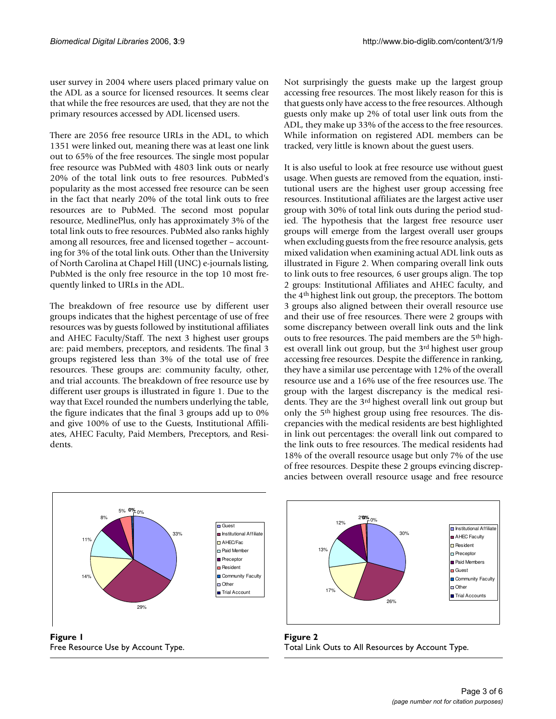user survey in 2004 where users placed primary value on the ADL as a source for licensed resources. It seems clear that while the free resources are used, that they are not the primary resources accessed by ADL licensed users.

There are 2056 free resource URLs in the ADL, to which 1351 were linked out, meaning there was at least one link out to 65% of the free resources. The single most popular free resource was PubMed with 4803 link outs or nearly 20% of the total link outs to free resources. PubMed's popularity as the most accessed free resource can be seen in the fact that nearly 20% of the total link outs to free resources are to PubMed. The second most popular resource, MedlinePlus, only has approximately 3% of the total link outs to free resources. PubMed also ranks highly among all resources, free and licensed together – accounting for 3% of the total link outs. Other than the University of North Carolina at Chapel Hill (UNC) e-journals listing, PubMed is the only free resource in the top 10 most frequently linked to URLs in the ADL.

The breakdown of free resource use by different user groups indicates that the highest percentage of use of free resources was by guests followed by institutional affiliates and AHEC Faculty/Staff. The next 3 highest user groups are: paid members, preceptors, and residents. The final 3 groups registered less than 3% of the total use of free resources. These groups are: community faculty, other, and trial accounts. The breakdown of free resource use by different user groups is illustrated in figure 1. Due to the way that Excel rounded the numbers underlying the table, the figure indicates that the final 3 groups add up to 0% and give 100% of use to the Guests, Institutional Affiliates, AHEC Faculty, Paid Members, Preceptors, and Residents.

Not surprisingly the guests make up the largest group accessing free resources. The most likely reason for this is that guests only have access to the free resources. Although guests only make up 2% of total user link outs from the ADL, they make up 33% of the access to the free resources. While information on registered ADL members can be tracked, very little is known about the guest users.

It is also useful to look at free resource use without guest usage. When guests are removed from the equation, institutional users are the highest user group accessing free resources. Institutional affiliates are the largest active user group with 30% of total link outs during the period studied. The hypothesis that the largest free resource user groups will emerge from the largest overall user groups when excluding guests from the free resource analysis, gets mixed validation when examining actual ADL link outs as illustrated in Figure 2. When comparing overall link outs to link outs to free resources, 6 user groups align. The top 2 groups: Institutional Affiliates and AHEC faculty, and the 4th highest link out group, the preceptors. The bottom 3 groups also aligned between their overall resource use and their use of free resources. There were 2 groups with some discrepancy between overall link outs and the link outs to free resources. The paid members are the 5th highest overall link out group, but the 3<sup>rd</sup> highest user group accessing free resources. Despite the difference in ranking, they have a similar use percentage with 12% of the overall resource use and a 16% use of the free resources use. The group with the largest discrepancy is the medical residents. They are the 3rd highest overall link out group but only the 5th highest group using free resources. The discrepancies with the medical residents are best highlighted in link out percentages: the overall link out compared to the link outs to free resources. The medical residents had 18% of the overall resource usage but only 7% of the use of free resources. Despite these 2 groups evincing discrepancies between overall resource usage and free resource



Figure 1 Free Resource Use by Account Type.



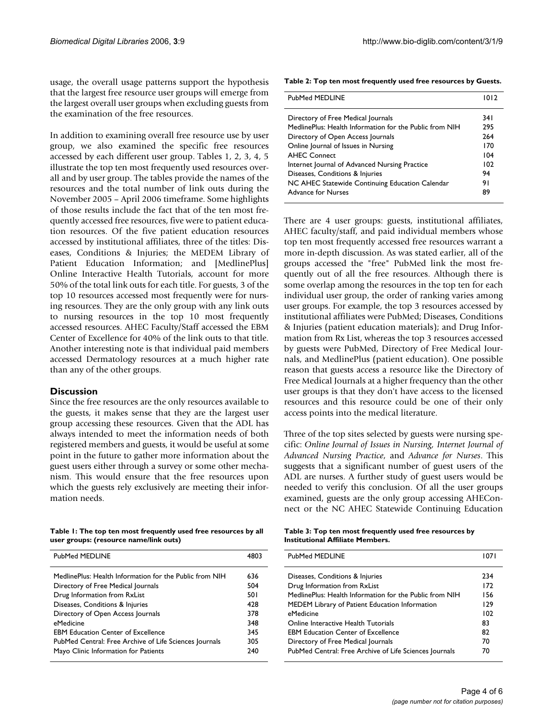usage, the overall usage patterns support the hypothesis that the largest free resource user groups will emerge from the largest overall user groups when excluding guests from the examination of the free resources.

In addition to examining overall free resource use by user group, we also examined the specific free resources accessed by each different user group. Tables 1, 2, 3, 4, 5 illustrate the top ten most frequently used resources overall and by user group. The tables provide the names of the resources and the total number of link outs during the November 2005 – April 2006 timeframe. Some highlights of those results include the fact that of the ten most frequently accessed free resources, five were to patient education resources. Of the five patient education resources accessed by institutional affiliates, three of the titles: Diseases, Conditions & Injuries; the MEDEM Library of Patient Education Information; and [MedlinePlus] Online Interactive Health Tutorials, account for more 50% of the total link outs for each title. For guests, 3 of the top 10 resources accessed most frequently were for nursing resources. They are the only group with any link outs to nursing resources in the top 10 most frequently accessed resources. AHEC Faculty/Staff accessed the EBM Center of Excellence for 40% of the link outs to that title. Another interesting note is that individual paid members accessed Dermatology resources at a much higher rate than any of the other groups.

#### **Discussion**

Since the free resources are the only resources available to the guests, it makes sense that they are the largest user group accessing these resources. Given that the ADL has always intended to meet the information needs of both registered members and guests, it would be useful at some point in the future to gather more information about the guest users either through a survey or some other mechanism. This would ensure that the free resources upon which the guests rely exclusively are meeting their information needs.

**Table 1: The top ten most frequently used free resources by all user groups: (resource name/link outs)**

| <b>PubMed MEDLINE</b>                                   | 4803 |
|---------------------------------------------------------|------|
| MedlinePlus: Health Information for the Public from NIH | 636  |
| Directory of Free Medical Journals                      | 504  |
| Drug Information from RxList                            | 50 I |
| Diseases, Conditions & Injuries                         | 428  |
| Directory of Open Access Journals                       | 378  |
| eMedicine                                               | 348  |
| <b>FBM Education Center of Excellence</b>               | 345  |
| PubMed Central: Free Archive of Life Sciences Journals  | 305  |
| Mayo Clinic Information for Patients                    | 240  |
|                                                         |      |

| PubMed MFDI INF                                         | 1012 |
|---------------------------------------------------------|------|
| Directory of Free Medical Journals                      | 34 I |
| MedlinePlus: Health Information for the Public from NIH | 295  |
| Directory of Open Access Journals                       | 264  |
| Online Journal of Issues in Nursing                     | 170  |
| <b>AHFC Connect</b>                                     | 104  |
| Internet Journal of Advanced Nursing Practice           | 102  |
| Diseases, Conditions & Injuries                         | 94   |
| NC AHEC Statewide Continuing Education Calendar         | 91   |
| <b>Advance for Nurses</b>                               | 89   |
|                                                         |      |

There are 4 user groups: guests, institutional affiliates, AHEC faculty/staff, and paid individual members whose top ten most frequently accessed free resources warrant a more in-depth discussion. As was stated earlier, all of the groups accessed the "free" PubMed link the most frequently out of all the free resources. Although there is some overlap among the resources in the top ten for each individual user group, the order of ranking varies among user groups. For example, the top 3 resources accessed by institutional affiliates were PubMed; Diseases, Conditions & Injuries (patient education materials); and Drug Information from Rx List, whereas the top 3 resources accessed by guests were PubMed, Directory of Free Medical Journals, and MedlinePlus (patient education). One possible reason that guests access a resource like the Directory of Free Medical Journals at a higher frequency than the other user groups is that they don't have access to the licensed resources and this resource could be one of their only access points into the medical literature.

Three of the top sites selected by guests were nursing specific: *Online Journal of Issues in Nursing, Internet Journal of Advanced Nursing Practice*, and *Advance for Nurses*. This suggests that a significant number of guest users of the ADL are nurses. A further study of guest users would be needed to verify this conclusion. Of all the user groups examined, guests are the only group accessing AHEConnect or the NC AHEC Statewide Continuing Education

**Table 3: Top ten most frequently used free resources by Institutional Affiliate Members.**

| <b>PubMed MEDLINE</b>                                   | 1071 |
|---------------------------------------------------------|------|
| Diseases, Conditions & Injuries                         | 234  |
| Drug Information from RxList                            | 172  |
| MedlinePlus: Health Information for the Public from NIH | 156  |
| MEDEM Library of Patient Education Information          | 129  |
| eMedicine                                               | 102  |
| Online Interactive Health Tutorials                     | 83   |
| <b>FBM Education Center of Excellence</b>               | 82   |
| Directory of Free Medical Journals                      | 70   |
| PubMed Central: Free Archive of Life Sciences Journals  | 70   |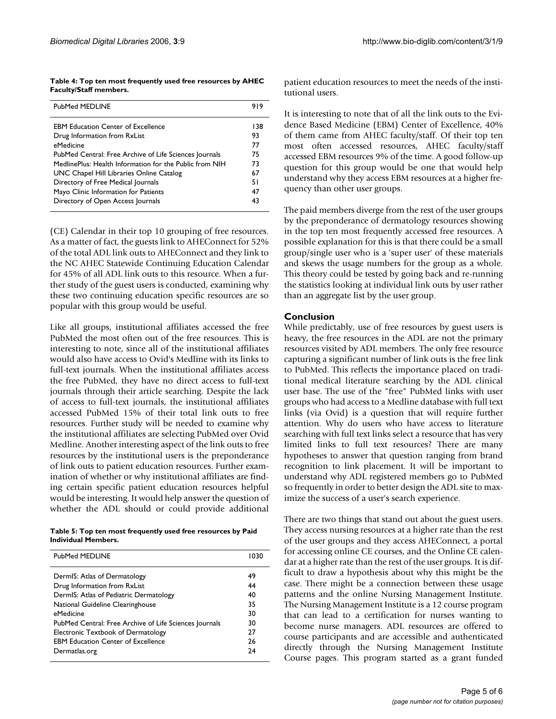**Table 4: Top ten most frequently used free resources by AHEC Faculty/Staff members.**

| <b>PubMed MEDLINE</b>                                   | 919 |
|---------------------------------------------------------|-----|
| <b>FBM Education Center of Excellence</b>               | 138 |
| Drug Information from RxList                            | 93  |
| eMedicine                                               | 77  |
| PubMed Central: Free Archive of Life Sciences Journals  | 75  |
| MedlinePlus: Health Information for the Public from NIH | 73  |
| UNC Chapel Hill Libraries Online Catalog                | 67  |
| Directory of Free Medical Journals                      | 51  |
| Mayo Clinic Information for Patients                    | 47  |
| Directory of Open Access Journals                       | 43  |

(CE) Calendar in their top 10 grouping of free resources. As a matter of fact, the guests link to AHEConnect for 52% of the total ADL link outs to AHEConnect and they link to the NC AHEC Statewide Continuing Education Calendar for 45% of all ADL link outs to this resource. When a further study of the guest users is conducted, examining why these two continuing education specific resources are so popular with this group would be useful.

Like all groups, institutional affiliates accessed the free PubMed the most often out of the free resources. This is interesting to note, since all of the institutional affiliates would also have access to Ovid's Medline with its links to full-text journals. When the institutional affiliates access the free PubMed, they have no direct access to full-text journals through their article searching. Despite the lack of access to full-text journals, the institutional affiliates accessed PubMed 15% of their total link outs to free resources. Further study will be needed to examine why the institutional affiliates are selecting PubMed over Ovid Medline. Another interesting aspect of the link outs to free resources by the institutional users is the preponderance of link outs to patient education resources. Further examination of whether or why institutional affiliates are finding certain specific patient education resources helpful would be interesting. It would help answer the question of whether the ADL should or could provide additional

**Table 5: Top ten most frequently used free resources by Paid Individual Members.**

| PubMed MEDI INF                                                                                                                                                                                                                                                | 1030                                   |
|----------------------------------------------------------------------------------------------------------------------------------------------------------------------------------------------------------------------------------------------------------------|----------------------------------------|
| DermIS: Atlas of Dermatology<br>Drug Information from RxList<br>DermIS: Atlas of Pediatric Dermatology<br>National Guideline Clearinghouse<br>eMedicine<br>PubMed Central: Free Archive of Life Sciences Journals<br><b>Electronic Textbook of Dermatology</b> | 49<br>44<br>40<br>35<br>30<br>30<br>27 |
| <b>FBM Education Center of Excellence</b>                                                                                                                                                                                                                      | 26                                     |
| Dermatlas.org                                                                                                                                                                                                                                                  | 24                                     |
|                                                                                                                                                                                                                                                                |                                        |

patient education resources to meet the needs of the institutional users.

It is interesting to note that of all the link outs to the Evidence Based Medicine (EBM) Center of Excellence, 40% of them came from AHEC faculty/staff. Of their top ten most often accessed resources, AHEC faculty/staff accessed EBM resources 9% of the time. A good follow-up question for this group would be one that would help understand why they access EBM resources at a higher frequency than other user groups.

The paid members diverge from the rest of the user groups by the preponderance of dermatology resources showing in the top ten most frequently accessed free resources. A possible explanation for this is that there could be a small group/single user who is a 'super user' of these materials and skews the usage numbers for the group as a whole. This theory could be tested by going back and re-running the statistics looking at individual link outs by user rather than an aggregate list by the user group.

#### **Conclusion**

While predictably, use of free resources by guest users is heavy, the free resources in the ADL are not the primary resources visited by ADL members. The only free resource capturing a significant number of link outs is the free link to PubMed. This reflects the importance placed on traditional medical literature searching by the ADL clinical user base. The use of the "free" PubMed links with user groups who had access to a Medline database with full text links (via Ovid) is a question that will require further attention. Why do users who have access to literature searching with full text links select a resource that has very limited links to full text resources? There are many hypotheses to answer that question ranging from brand recognition to link placement. It will be important to understand why ADL registered members go to PubMed so frequently in order to better design the ADL site to maximize the success of a user's search experience.

There are two things that stand out about the guest users. They access nursing resources at a higher rate than the rest of the user groups and they access AHEConnect, a portal for accessing online CE courses, and the Online CE calendar at a higher rate than the rest of the user groups. It is difficult to draw a hypothesis about why this might be the case. There might be a connection between these usage patterns and the online Nursing Management Institute. The Nursing Management Institute is a 12 course program that can lead to a certification for nurses wanting to become nurse managers. ADL resources are offered to course participants and are accessible and authenticated directly through the Nursing Management Institute Course pages. This program started as a grant funded